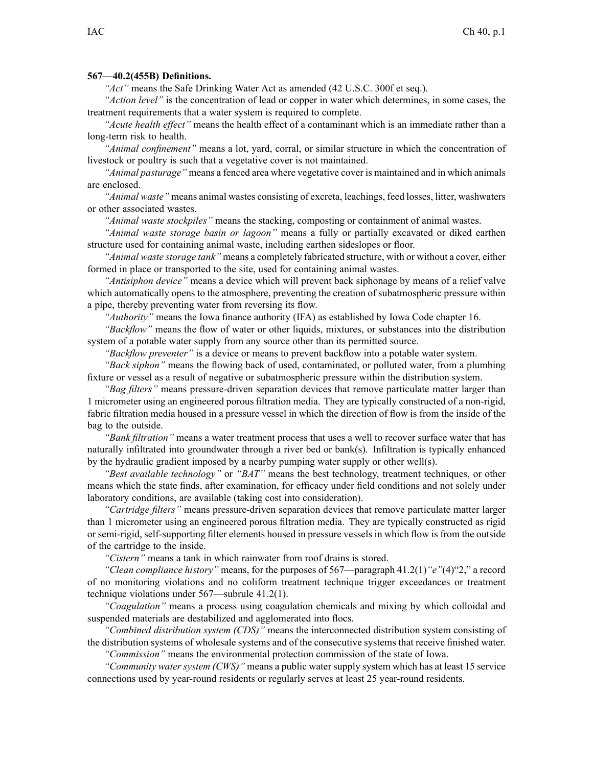## **567—40.2(455B) Definitions.**

*"Act"* means the Safe Drinking Water Act as amended (42 U.S.C. 300f et seq.).

*"Action level"* is the concentration of lead or copper in water which determines, in some cases, the treatment requirements that <sup>a</sup> water system is required to complete.

*"Acute health effect"* means the health effect of <sup>a</sup> contaminant which is an immediate rather than <sup>a</sup> long-term risk to health.

*"Animal confinement"* means <sup>a</sup> lot, yard, corral, or similar structure in which the concentration of livestock or poultry is such that <sup>a</sup> vegetative cover is not maintained.

*"Animal pasturage"* means <sup>a</sup> fenced area where vegetative cover is maintained and in which animals are enclosed.

*"Animal waste"* means animal wastes consisting of excreta, leachings, feed losses, litter, washwaters or other associated wastes.

*"Animal waste stockpiles"* means the stacking, composting or containment of animal wastes.

*"Animal waste storage basin or lagoon"* means <sup>a</sup> fully or partially excavated or diked earthen structure used for containing animal waste, including earthen sideslopes or floor.

*"Animal waste storage tank"* means <sup>a</sup> completely fabricated structure, with or without <sup>a</sup> cover, either formed in place or transported to the site, used for containing animal wastes.

*"Antisiphon device"* means <sup>a</sup> device which will preven<sup>t</sup> back siphonage by means of <sup>a</sup> relief valve which automatically opens to the atmosphere, preventing the creation of subatmospheric pressure within <sup>a</sup> pipe, thereby preventing water from reversing its flow.

*"Authority"* means the Iowa finance authority (IFA) as established by Iowa Code chapter [16](https://www.legis.iowa.gov/docs/ico/chapter/16.pdf).

*"Backflow"* means the flow of water or other liquids, mixtures, or substances into the distribution system of <sup>a</sup> potable water supply from any source other than its permitted source.

*"Backflow preventer"* is <sup>a</sup> device or means to preven<sup>t</sup> backflow into <sup>a</sup> potable water system.

*"Back siphon"* means the flowing back of used, contaminated, or polluted water, from <sup>a</sup> plumbing fixture or vessel as <sup>a</sup> result of negative or subatmospheric pressure within the distribution system.

*"Bag filters"* means pressure-driven separation devices that remove particulate matter larger than 1 micrometer using an engineered porous filtration media. They are typically constructed of <sup>a</sup> non-rigid, fabric filtration media housed in <sup>a</sup> pressure vessel in which the direction of flow is from the inside of the bag to the outside.

*"Bank filtration"* means <sup>a</sup> water treatment process that uses <sup>a</sup> well to recover surface water that has naturally infiltrated into groundwater through <sup>a</sup> river bed or bank(s). Infiltration is typically enhanced by the hydraulic gradient imposed by <sup>a</sup> nearby pumping water supply or other well(s).

*"Best available technology"* or *"BAT"* means the best technology, treatment techniques, or other means which the state finds, after examination, for efficacy under field conditions and not solely under laboratory conditions, are available (taking cost into consideration).

*"Cartridge filters"* means pressure-driven separation devices that remove particulate matter larger than 1 micrometer using an engineered porous filtration media. They are typically constructed as rigid or semi-rigid, self-supporting filter elements housed in pressure vessels in which flow is from the outside of the cartridge to the inside.

*"Cistern"* means <sup>a</sup> tank in which rainwater from roof drains is stored.

*"Clean compliance history"* means, for the purposes of 567—paragraph 41.2(1)*"e"*(4)"2," <sup>a</sup> record of no monitoring violations and no coliform treatment technique trigger exceedances or treatment technique violations under 567—subrule 41.2(1).

*"Coagulation"* means <sup>a</sup> process using coagulation chemicals and mixing by which colloidal and suspended materials are destabilized and agglomerated into flocs.

*"Combined distribution system (CDS)"* means the interconnected distribution system consisting of the distribution systems of wholesale systems and of the consecutive systems that receive finished water.

*"Commission"* means the environmental protection commission of the state of Iowa.

*"Community water system (CWS)"* means <sup>a</sup> public water supply system which has at least 15 service connections used by year-round residents or regularly serves at least 25 year-round residents.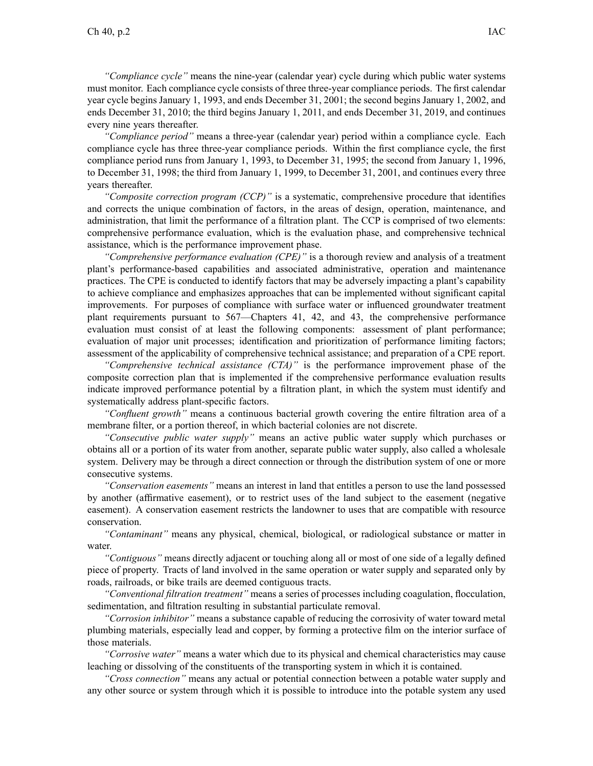*"Compliance cycle"* means the nine-year (calendar year) cycle during which public water systems must monitor. Each compliance cycle consists of three three-year compliance periods. The first calendar year cycle begins January 1, 1993, and ends December 31, 2001; the second begins January 1, 2002, and ends December 31, 2010; the third begins January 1, 2011, and ends December 31, 2019, and continues every nine years thereafter.

*"Compliance period"* means <sup>a</sup> three-year (calendar year) period within <sup>a</sup> compliance cycle. Each compliance cycle has three three-year compliance periods. Within the first compliance cycle, the first compliance period runs from January 1, 1993, to December 31, 1995; the second from January 1, 1996, to December 31, 1998; the third from January 1, 1999, to December 31, 2001, and continues every three years thereafter.

*"Composite correction program (CCP)"* is <sup>a</sup> systematic, comprehensive procedure that identifies and corrects the unique combination of factors, in the areas of design, operation, maintenance, and administration, that limit the performance of <sup>a</sup> filtration plant. The CCP is comprised of two elements: comprehensive performance evaluation, which is the evaluation phase, and comprehensive technical assistance, which is the performance improvement phase.

*"Comprehensive performance evaluation (CPE)"* is <sup>a</sup> thorough review and analysis of <sup>a</sup> treatment plant's performance-based capabilities and associated administrative, operation and maintenance practices. The CPE is conducted to identify factors that may be adversely impacting <sup>a</sup> plant's capability to achieve compliance and emphasizes approaches that can be implemented without significant capital improvements. For purposes of compliance with surface water or influenced groundwater treatment plant requirements pursuan<sup>t</sup> to [567—Chapters](https://www.legis.iowa.gov/docs/iac/chapter/567.41.pdf) 41, [42](https://www.legis.iowa.gov/docs/iac/chapter/567.42.pdf), and [43](https://www.legis.iowa.gov/docs/iac/chapter/567.43.pdf), the comprehensive performance evaluation must consist of at least the following components: assessment of plant performance; evaluation of major unit processes; identification and prioritization of performance limiting factors; assessment of the applicability of comprehensive technical assistance; and preparation of <sup>a</sup> CPE report.

*"Comprehensive technical assistance (CTA)"* is the performance improvement phase of the composite correction plan that is implemented if the comprehensive performance evaluation results indicate improved performance potential by <sup>a</sup> filtration plant, in which the system must identify and systematically address plant-specific factors.

*"Confluent growth"* means <sup>a</sup> continuous bacterial growth covering the entire filtration area of <sup>a</sup> membrane filter, or <sup>a</sup> portion thereof, in which bacterial colonies are not discrete.

*"Consecutive public water supply"* means an active public water supply which purchases or obtains all or <sup>a</sup> portion of its water from another, separate public water supply, also called <sup>a</sup> wholesale system. Delivery may be through <sup>a</sup> direct connection or through the distribution system of one or more consecutive systems.

*"Conservation easements"* means an interest in land that entitles <sup>a</sup> person to use the land possessed by another (affirmative easement), or to restrict uses of the land subject to the easement (negative easement). A conservation easement restricts the landowner to uses that are compatible with resource conservation.

*"Contaminant"* means any physical, chemical, biological, or radiological substance or matter in water.

*"Contiguous"* means directly adjacent or touching along all or most of one side of <sup>a</sup> legally defined piece of property. Tracts of land involved in the same operation or water supply and separated only by roads, railroads, or bike trails are deemed contiguous tracts.

*"Conventional filtration treatment"* means <sup>a</sup> series of processes including coagulation, flocculation, sedimentation, and filtration resulting in substantial particulate removal.

*"Corrosion inhibitor"* means <sup>a</sup> substance capable of reducing the corrosivity of water toward metal plumbing materials, especially lead and copper, by forming <sup>a</sup> protective film on the interior surface of those materials.

*"Corrosive water"* means <sup>a</sup> water which due to its physical and chemical characteristics may cause leaching or dissolving of the constituents of the transporting system in which it is contained.

*"Cross connection"* means any actual or potential connection between <sup>a</sup> potable water supply and any other source or system through which it is possible to introduce into the potable system any used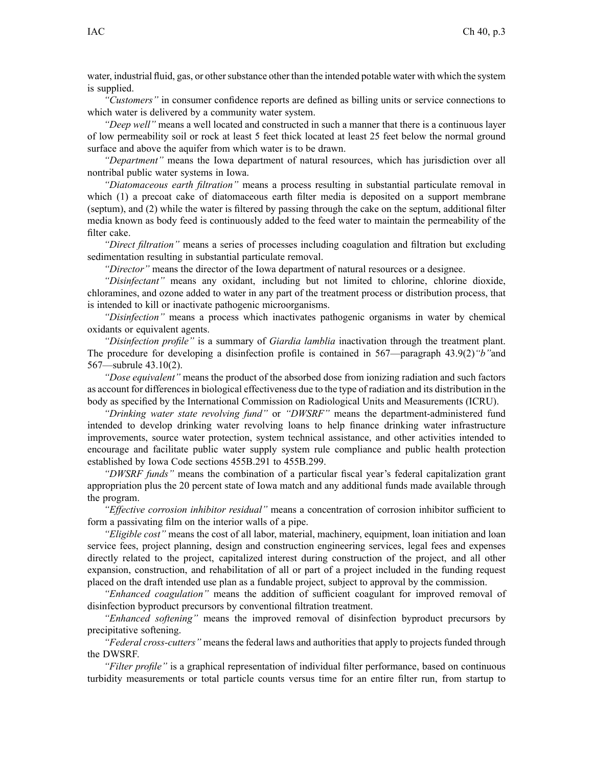*"Customers"* in consumer confidence reports are defined as billing units or service connections to which water is delivered by <sup>a</sup> community water system.

*"Deep well"* means <sup>a</sup> well located and constructed in such <sup>a</sup> manner that there is <sup>a</sup> continuous layer of low permeability soil or rock at least 5 feet thick located at least 25 feet below the normal ground surface and above the aquifer from which water is to be drawn.

*"Department"* means the Iowa department of natural resources, which has jurisdiction over all nontribal public water systems in Iowa.

*"Diatomaceous earth filtration"* means <sup>a</sup> process resulting in substantial particulate removal in which (1) a precoat cake of diatomaceous earth filter media is deposited on a support membrane (septum), and (2) while the water is filtered by passing through the cake on the septum, additional filter media known as body feed is continuously added to the feed water to maintain the permeability of the filter cake.

*"Direct filtration"* means <sup>a</sup> series of processes including coagulation and filtration but excluding sedimentation resulting in substantial particulate removal.

*"Director"* means the director of the Iowa department of natural resources or <sup>a</sup> designee.

*"Disinfectant"* means any oxidant, including but not limited to chlorine, chlorine dioxide, chloramines, and ozone added to water in any par<sup>t</sup> of the treatment process or distribution process, that is intended to kill or inactivate pathogenic microorganisms.

*"Disinfection"* means <sup>a</sup> process which inactivates pathogenic organisms in water by chemical oxidants or equivalent agents.

*"Disinfection profile"* is <sup>a</sup> summary of *Giardia lamblia* inactivation through the treatment plant. The procedure for developing <sup>a</sup> disinfection profile is contained in 567—paragraph [43.9\(2\)](https://www.legis.iowa.gov/docs/iac/rule/567.43.9.pdf)*"b"*and [567—subrule](https://www.legis.iowa.gov/docs/iac/rule/567.43.10.pdf) 43.10(2).

*"Dose equivalent"* means the product of the absorbed dose from ionizing radiation and such factors as account for differencesin biological effectiveness due to the type of radiation and its distribution in the body as specified by the International Commission on Radiological Units and Measurements (ICRU).

*"Drinking water state revolving fund"* or *"DWSRF"* means the department-administered fund intended to develop drinking water revolving loans to help finance drinking water infrastructure improvements, source water protection, system technical assistance, and other activities intended to encourage and facilitate public water supply system rule compliance and public health protection established by Iowa Code sections 455B.291 to [455B.299](https://www.legis.iowa.gov/docs/ico/section/455B.291-299.pdf).

*"DWSRF funds"* means the combination of <sup>a</sup> particular fiscal year's federal capitalization gran<sup>t</sup> appropriation plus the 20 percen<sup>t</sup> state of Iowa match and any additional funds made available through the program.

*"Effective corrosion inhibitor residual"* means <sup>a</sup> concentration of corrosion inhibitor sufficient to form <sup>a</sup> passivating film on the interior walls of <sup>a</sup> pipe.

*"Eligible cost"* means the cost of all labor, material, machinery, equipment, loan initiation and loan service fees, project planning, design and construction engineering services, legal fees and expenses directly related to the project, capitalized interest during construction of the project, and all other expansion, construction, and rehabilitation of all or par<sup>t</sup> of <sup>a</sup> project included in the funding reques<sup>t</sup> placed on the draft intended use plan as <sup>a</sup> fundable project, subject to approval by the commission.

*"Enhanced coagulation"* means the addition of sufficient coagulant for improved removal of disinfection byproduct precursors by conventional filtration treatment.

*"Enhanced softening"* means the improved removal of disinfection byproduct precursors by precipitative softening.

*"Federal cross-cutters"* means the federal laws and authorities that apply to projects funded through the DWSRF.

*"Filter profile"* is <sup>a</sup> graphical representation of individual filter performance, based on continuous turbidity measurements or total particle counts versus time for an entire filter run, from startup to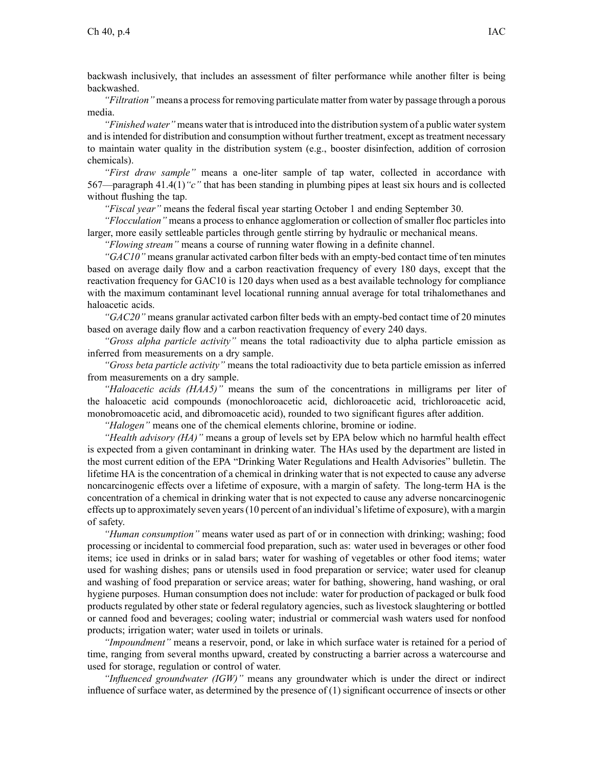backwash inclusively, that includes an assessment of filter performance while another filter is being backwashed.

*"Filtration"* means <sup>a</sup> processfor removing particulate matter from water by passage through <sup>a</sup> porous media.

*"Finished water*" means water that is introduced into the distribution system of a public water system and is intended for distribution and consumption without further treatment, except as treatment necessary to maintain water quality in the distribution system (e.g., booster disinfection, addition of corrosion chemicals).

*"First draw sample"* means <sup>a</sup> one-liter sample of tap water, collected in accordance with 567—paragraph [41.4\(1\)](https://www.legis.iowa.gov/docs/iac/rule/567.41.4.pdf)*"c"* that has been standing in plumbing pipes at least six hours and is collected without flushing the tap.

*"Fiscal year"* means the federal fiscal year starting October 1 and ending September 30.

*"Flocculation"* means <sup>a</sup> process to enhance agglomeration or collection of smaller floc particles into larger, more easily settleable particles through gentle stirring by hydraulic or mechanical means.

*"Flowing stream"* means <sup>a</sup> course of running water flowing in <sup>a</sup> definite channel.

*"GAC10"* means granular activated carbon filter beds with an empty-bed contact time of ten minutes based on average daily flow and <sup>a</sup> carbon reactivation frequency of every 180 days, excep<sup>t</sup> that the reactivation frequency for GAC10 is 120 days when used as <sup>a</sup> best available technology for compliance with the maximum contaminant level locational running annual average for total trihalomethanes and haloacetic acids.

*"GAC20"* means granular activated carbon filter beds with an empty-bed contact time of 20 minutes based on average daily flow and <sup>a</sup> carbon reactivation frequency of every 240 days.

*"Gross alpha particle activity"* means the total radioactivity due to alpha particle emission as inferred from measurements on <sup>a</sup> dry sample.

*"Gross beta particle activity"* means the total radioactivity due to beta particle emission as inferred from measurements on <sup>a</sup> dry sample.

*"Haloacetic acids (HAA5)"* means the sum of the concentrations in milligrams per liter of the haloacetic acid compounds (monochloroacetic acid, dichloroacetic acid, trichloroacetic acid, monobromoacetic acid, and dibromoacetic acid), rounded to two significant figures after addition.

*"Halogen"* means one of the chemical elements chlorine, bromine or iodine.

*"Health advisory (HA)"* means <sup>a</sup> group of levels set by EPA below which no harmful health effect is expected from <sup>a</sup> given contaminant in drinking water. The HAs used by the department are listed in the most current edition of the EPA "Drinking Water Regulations and Health Advisories" bulletin. The lifetime HA is the concentration of <sup>a</sup> chemical in drinking water that is not expected to cause any adverse noncarcinogenic effects over <sup>a</sup> lifetime of exposure, with <sup>a</sup> margin of safety. The long-term HA is the concentration of <sup>a</sup> chemical in drinking water that is not expected to cause any adverse noncarcinogenic effects up to approximately seven years(10 percen<sup>t</sup> of an individual'slifetime of exposure), with <sup>a</sup> margin of safety.

*"Human consumption"* means water used as par<sup>t</sup> of or in connection with drinking; washing; food processing or incidental to commercial food preparation, such as: water used in beverages or other food items; ice used in drinks or in salad bars; water for washing of vegetables or other food items; water used for washing dishes; pans or utensils used in food preparation or service; water used for cleanup and washing of food preparation or service areas; water for bathing, showering, hand washing, or oral hygiene purposes. Human consumption does not include: water for production of packaged or bulk food products regulated by other state or federal regulatory agencies, such as livestock slaughtering or bottled or canned food and beverages; cooling water; industrial or commercial wash waters used for nonfood products; irrigation water; water used in toilets or urinals.

*"Impoundment"* means <sup>a</sup> reservoir, pond, or lake in which surface water is retained for <sup>a</sup> period of time, ranging from several months upward, created by constructing <sup>a</sup> barrier across <sup>a</sup> watercourse and used for storage, regulation or control of water.

*"Influenced groundwater (IGW)"* means any groundwater which is under the direct or indirect influence of surface water, as determined by the presence of (1) significant occurrence of insects or other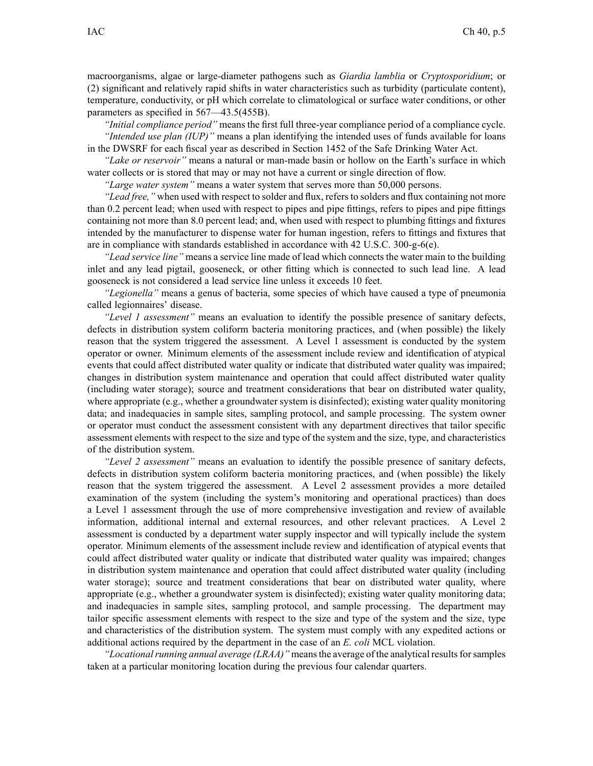macroorganisms, algae or large-diameter pathogens such as *Giardia lamblia* or *Cryptosporidium*; or (2) significant and relatively rapid shifts in water characteristics such as turbidity (particulate content), temperature, conductivity, or pH which correlate to climatological or surface water conditions, or other parameters as specified in [567—43.5\(455B\)](https://www.legis.iowa.gov/docs/iac/rule/567.43.5.pdf).

*"Initial compliance period"* means the first full three-year compliance period of <sup>a</sup> compliance cycle. *"Intended use plan (IUP)"* means <sup>a</sup> plan identifying the intended uses of funds available for loans in the DWSRF for each fiscal year as described in Section 1452 of the Safe Drinking Water Act.

*"Lake or reservoir"* means <sup>a</sup> natural or man-made basin or hollow on the Earth's surface in which water collects or is stored that may or may not have <sup>a</sup> current or single direction of flow.

*"Large water system"* means <sup>a</sup> water system that serves more than 50,000 persons.

*"Lead free,"* when used with respect to solder and flux, refers to solders and flux containing not more than 0.2 percen<sup>t</sup> lead; when used with respec<sup>t</sup> to pipes and pipe fittings, refers to pipes and pipe fittings containing not more than 8.0 percen<sup>t</sup> lead; and, when used with respec<sup>t</sup> to plumbing fittings and fixtures intended by the manufacturer to dispense water for human ingestion, refers to fittings and fixtures that are in compliance with standards established in accordance with 42 U.S.C. 300-g-6(e).

*"Lead service line"* means <sup>a</sup> service line made of lead which connects the water main to the building inlet and any lead pigtail, gooseneck, or other fitting which is connected to such lead line. A lead gooseneck is not considered <sup>a</sup> lead service line unless it exceeds 10 feet.

*"Legionella"* means <sup>a</sup> genus of bacteria, some species of which have caused <sup>a</sup> type of pneumonia called legionnaires' disease.

*"Level 1 assessment"* means an evaluation to identify the possible presence of sanitary defects, defects in distribution system coliform bacteria monitoring practices, and (when possible) the likely reason that the system triggered the assessment. A Level 1 assessment is conducted by the system operator or owner. Minimum elements of the assessment include review and identification of atypical events that could affect distributed water quality or indicate that distributed water quality was impaired; changes in distribution system maintenance and operation that could affect distributed water quality (including water storage); source and treatment considerations that bear on distributed water quality, where appropriate (e.g., whether <sup>a</sup> groundwater system is disinfected); existing water quality monitoring data; and inadequacies in sample sites, sampling protocol, and sample processing. The system owner or operator must conduct the assessment consistent with any department directives that tailor specific assessment elements with respec<sup>t</sup> to the size and type of the system and the size, type, and characteristics of the distribution system.

*"Level 2 assessment"* means an evaluation to identify the possible presence of sanitary defects, defects in distribution system coliform bacteria monitoring practices, and (when possible) the likely reason that the system triggered the assessment. A Level 2 assessment provides <sup>a</sup> more detailed examination of the system (including the system's monitoring and operational practices) than does <sup>a</sup> Level 1 assessment through the use of more comprehensive investigation and review of available information, additional internal and external resources, and other relevant practices. A Level 2 assessment is conducted by <sup>a</sup> department water supply inspector and will typically include the system operator. Minimum elements of the assessment include review and identification of atypical events that could affect distributed water quality or indicate that distributed water quality was impaired; changes in distribution system maintenance and operation that could affect distributed water quality (including water storage); source and treatment considerations that bear on distributed water quality, where appropriate (e.g., whether <sup>a</sup> groundwater system is disinfected); existing water quality monitoring data; and inadequacies in sample sites, sampling protocol, and sample processing. The department may tailor specific assessment elements with respec<sup>t</sup> to the size and type of the system and the size, type and characteristics of the distribution system. The system must comply with any expedited actions or additional actions required by the department in the case of an *E. coli* MCL violation.

*"Locational running annual average (LRAA)"* means the average of the analytical results for samples taken at <sup>a</sup> particular monitoring location during the previous four calendar quarters.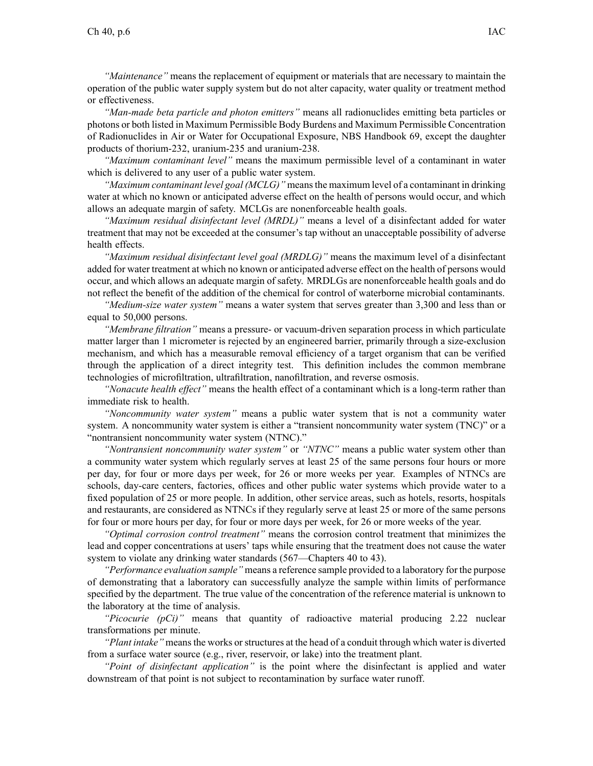*"Maintenance"* means the replacement of equipment or materials that are necessary to maintain the operation of the public water supply system but do not alter capacity, water quality or treatment method or effectiveness.

*"Man-made beta particle and photon emitters"* means all radionuclides emitting beta particles or photons or both listed in Maximum Permissible Body Burdens and Maximum Permissible Concentration of Radionuclides in Air or Water for Occupational Exposure, NBS Handbook 69, excep<sup>t</sup> the daughter products of thorium-232, uranium-235 and uranium-238.

*"Maximum contaminant level"* means the maximum permissible level of <sup>a</sup> contaminant in water which is delivered to any user of <sup>a</sup> public water system.

*"Maximum contaminant level goal (MCLG)"* meansthe maximum level of <sup>a</sup> contaminant in drinking water at which no known or anticipated adverse effect on the health of persons would occur, and which allows an adequate margin of safety. MCLGs are nonenforceable health goals.

*"Maximum residual disinfectant level (MRDL)"* means <sup>a</sup> level of <sup>a</sup> disinfectant added for water treatment that may not be exceeded at the consumer's tap without an unacceptable possibility of adverse health effects.

*"Maximum residual disinfectant level goal (MRDLG)"* means the maximum level of <sup>a</sup> disinfectant added for water treatment at which no known or anticipated adverse effect on the health of persons would occur, and which allows an adequate margin of safety. MRDLGs are nonenforceable health goals and do not reflect the benefit of the addition of the chemical for control of waterborne microbial contaminants.

*"Medium-size water system"* means <sup>a</sup> water system that serves greater than 3,300 and less than or equal to 50,000 persons.

*"Membrane filtration"* means <sup>a</sup> pressure- or vacuum-driven separation process in which particulate matter larger than 1 micrometer is rejected by an engineered barrier, primarily through <sup>a</sup> size-exclusion mechanism, and which has <sup>a</sup> measurable removal efficiency of <sup>a</sup> target organism that can be verified through the application of <sup>a</sup> direct integrity test. This definition includes the common membrane technologies of microfiltration, ultrafiltration, nanofiltration, and reverse osmosis.

*"Nonacute health effect"* means the health effect of <sup>a</sup> contaminant which is <sup>a</sup> long-term rather than immediate risk to health.

*"Noncommunity water system"* means <sup>a</sup> public water system that is not <sup>a</sup> community water system. A noncommunity water system is either <sup>a</sup> "transient noncommunity water system (TNC)" or <sup>a</sup> "nontransient noncommunity water system (NTNC)."

*"Nontransient noncommunity water system"* or *"NTNC"* means <sup>a</sup> public water system other than <sup>a</sup> community water system which regularly serves at least 25 of the same persons four hours or more per day, for four or more days per week, for 26 or more weeks per year. Examples of NTNCs are schools, day-care centers, factories, offices and other public water systems which provide water to <sup>a</sup> fixed population of 25 or more people. In addition, other service areas, such as hotels, resorts, hospitals and restaurants, are considered as NTNCs if they regularly serve at least 25 or more of the same persons for four or more hours per day, for four or more days per week, for 26 or more weeks of the year.

*"Optimal corrosion control treatment"* means the corrosion control treatment that minimizes the lead and copper concentrations at users' taps while ensuring that the treatment does not cause the water system to violate any drinking water standards [\(567—Chapters](https://www.legis.iowa.gov/docs/iac/chapter/567.40.pdf) 40 to [43](https://www.legis.iowa.gov/docs/iac/chapter/567.43.pdf)).

*"Performance evaluation sample"* means <sup>a</sup> reference sample provided to <sup>a</sup> laboratory for the purpose of demonstrating that <sup>a</sup> laboratory can successfully analyze the sample within limits of performance specified by the department. The true value of the concentration of the reference material is unknown to the laboratory at the time of analysis.

*"Picocurie (pCi)"* means that quantity of radioactive material producing 2.22 nuclear transformations per minute.

*"Plant intake"* meansthe works orstructures at the head of <sup>a</sup> conduit through which water is diverted from <sup>a</sup> surface water source (e.g., river, reservoir, or lake) into the treatment plant.

*"Point of disinfectant application"* is the point where the disinfectant is applied and water downstream of that point is not subject to recontamination by surface water runoff.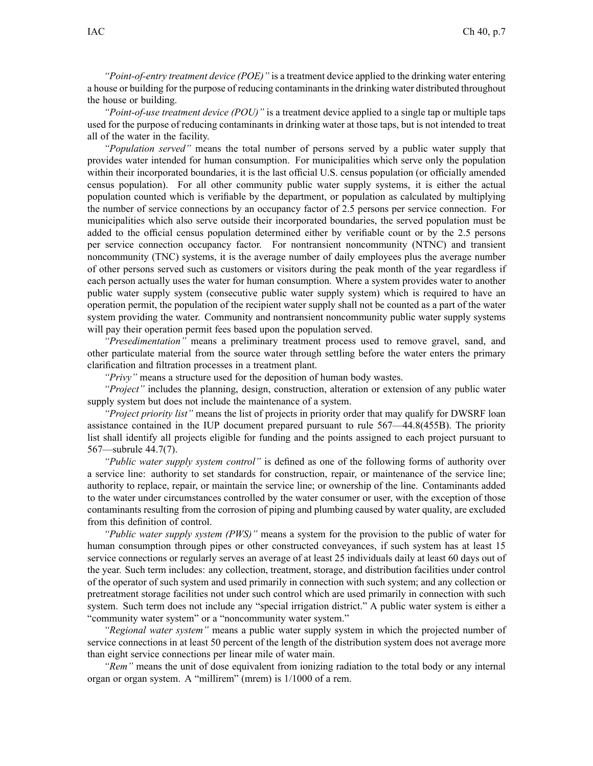*"Point-of-entry treatment device (POE)"* is <sup>a</sup> treatment device applied to the drinking water entering a house or building for the purpose of reducing contaminants in the drinking water distributed throughout the house or building.

*"Point-of-use treatment device (POU)"* is <sup>a</sup> treatment device applied to <sup>a</sup> single tap or multiple taps used for the purpose of reducing contaminants in drinking water at those taps, but is not intended to treat all of the water in the facility.

*"Population served"* means the total number of persons served by <sup>a</sup> public water supply that provides water intended for human consumption. For municipalities which serve only the population within their incorporated boundaries, it is the last official U.S. census population (or officially amended census population). For all other community public water supply systems, it is either the actual population counted which is verifiable by the department, or population as calculated by multiplying the number of service connections by an occupancy factor of 2.5 persons per service connection. For municipalities which also serve outside their incorporated boundaries, the served population must be added to the official census population determined either by verifiable count or by the 2.5 persons per service connection occupancy factor. For nontransient noncommunity (NTNC) and transient noncommunity (TNC) systems, it is the average number of daily employees plus the average number of other persons served such as customers or visitors during the peak month of the year regardless if each person actually uses the water for human consumption. Where <sup>a</sup> system provides water to another public water supply system (consecutive public water supply system) which is required to have an operation permit, the population of the recipient water supply shall not be counted as <sup>a</sup> par<sup>t</sup> of the water system providing the water. Community and nontransient noncommunity public water supply systems will pay their operation permit fees based upon the population served.

*"Presedimentation"* means <sup>a</sup> preliminary treatment process used to remove gravel, sand, and other particulate material from the source water through settling before the water enters the primary clarification and filtration processes in <sup>a</sup> treatment plant.

*"Privy"* means <sup>a</sup> structure used for the deposition of human body wastes.

*"Project"* includes the planning, design, construction, alteration or extension of any public water supply system but does not include the maintenance of <sup>a</sup> system.

*"Project priority list"* means the list of projects in priority order that may qualify for DWSRF loan assistance contained in the IUP document prepared pursuan<sup>t</sup> to rule [567—44.8\(455B\)](https://www.legis.iowa.gov/docs/iac/rule/567.44.8.pdf). The priority list shall identify all projects eligible for funding and the points assigned to each project pursuan<sup>t</sup> to [567—subrule](https://www.legis.iowa.gov/docs/iac/rule/567.44.7.pdf) 44.7(7).

*"Public water supply system control"* is defined as one of the following forms of authority over <sup>a</sup> service line: authority to set standards for construction, repair, or maintenance of the service line; authority to replace, repair, or maintain the service line; or ownership of the line. Contaminants added to the water under circumstances controlled by the water consumer or user, with the exception of those contaminants resulting from the corrosion of piping and plumbing caused by water quality, are excluded from this definition of control.

*"Public water supply system (PWS)"* means <sup>a</sup> system for the provision to the public of water for human consumption through pipes or other constructed conveyances, if such system has at least 15 service connections or regularly serves an average of at least 25 individuals daily at least 60 days out of the year. Such term includes: any collection, treatment, storage, and distribution facilities under control of the operator of such system and used primarily in connection with such system; and any collection or pretreatment storage facilities not under such control which are used primarily in connection with such system. Such term does not include any "special irrigation district." A public water system is either <sup>a</sup> "community water system" or <sup>a</sup> "noncommunity water system."

*"Regional water system"* means <sup>a</sup> public water supply system in which the projected number of service connections in at least 50 percen<sup>t</sup> of the length of the distribution system does not average more than eight service connections per linear mile of water main.

*"Rem"* means the unit of dose equivalent from ionizing radiation to the total body or any internal organ or organ system. A "millirem" (mrem) is 1/1000 of <sup>a</sup> rem.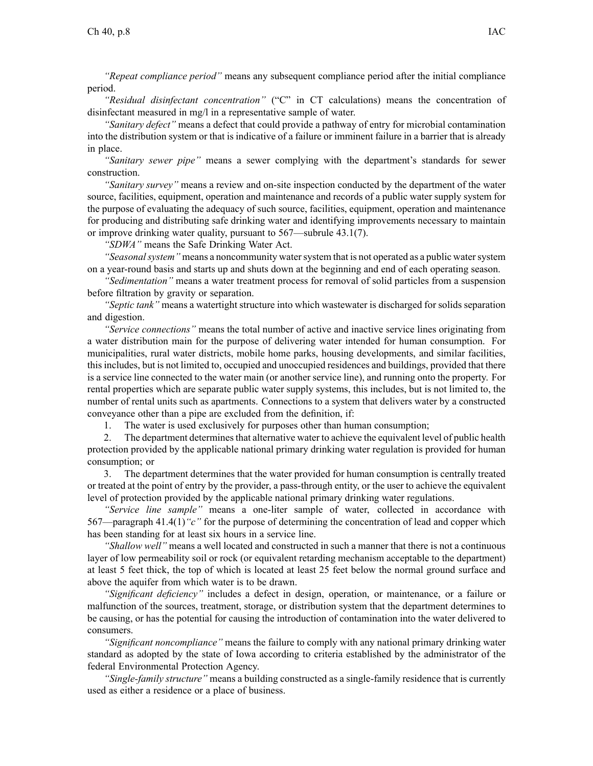*"Repeat compliance period"* means any subsequent compliance period after the initial compliance period.

*"Residual disinfectant concentration"* ("C" in CT calculations) means the concentration of disinfectant measured in mg/l in <sup>a</sup> representative sample of water.

*"Sanitary defect"* means <sup>a</sup> defect that could provide <sup>a</sup> pathway of entry for microbial contamination into the distribution system or that is indicative of <sup>a</sup> failure or imminent failure in <sup>a</sup> barrier that is already in place.

*"Sanitary sewer pipe"* means <sup>a</sup> sewer complying with the department's standards for sewer construction.

*"Sanitary survey"* means <sup>a</sup> review and on-site inspection conducted by the department of the water source, facilities, equipment, operation and maintenance and records of <sup>a</sup> public water supply system for the purpose of evaluating the adequacy of such source, facilities, equipment, operation and maintenance for producing and distributing safe drinking water and identifying improvements necessary to maintain or improve drinking water quality, pursuan<sup>t</sup> to 567—subrule 43.1(7).

*"SDWA"* means the Safe Drinking Water Act.

*"Seasonalsystem"* means <sup>a</sup> noncommunity watersystem that is not operated as <sup>a</sup> public watersystem on <sup>a</sup> year-round basis and starts up and shuts down at the beginning and end of each operating season.

*"Sedimentation"* means <sup>a</sup> water treatment process for removal of solid particles from <sup>a</sup> suspension before filtration by gravity or separation.

*"Septic tank"* means <sup>a</sup> watertight structure into which wastewater is discharged for solids separation and digestion.

*"Service connections"* means the total number of active and inactive service lines originating from <sup>a</sup> water distribution main for the purpose of delivering water intended for human consumption. For municipalities, rural water districts, mobile home parks, housing developments, and similar facilities, thisincludes, but is not limited to, occupied and unoccupied residences and buildings, provided that there is <sup>a</sup> service line connected to the water main (or another service line), and running onto the property. For rental properties which are separate public water supply systems, this includes, but is not limited to, the number of rental units such as apartments. Connections to <sup>a</sup> system that delivers water by <sup>a</sup> constructed conveyance other than <sup>a</sup> pipe are excluded from the definition, if:

1. The water is used exclusively for purposes other than human consumption;

2. The department determines that alternative water to achieve the equivalent level of public health protection provided by the applicable national primary drinking water regulation is provided for human consumption; or

3. The department determines that the water provided for human consumption is centrally treated or treated at the point of entry by the provider, <sup>a</sup> pass-through entity, or the user to achieve the equivalent level of protection provided by the applicable national primary drinking water regulations.

*"Service line sample"* means <sup>a</sup> one-liter sample of water, collected in accordance with 567—paragraph [41.4\(1\)](https://www.legis.iowa.gov/docs/iac/rule/567.41.4.pdf)*"c"* for the purpose of determining the concentration of lead and copper which has been standing for at least six hours in <sup>a</sup> service line.

*"Shallow well"* means <sup>a</sup> well located and constructed in such <sup>a</sup> manner that there is not <sup>a</sup> continuous layer of low permeability soil or rock (or equivalent retarding mechanism acceptable to the department) at least 5 feet thick, the top of which is located at least 25 feet below the normal ground surface and above the aquifer from which water is to be drawn.

*"Significant deficiency"* includes <sup>a</sup> defect in design, operation, or maintenance, or <sup>a</sup> failure or malfunction of the sources, treatment, storage, or distribution system that the department determines to be causing, or has the potential for causing the introduction of contamination into the water delivered to consumers.

*"Significant noncompliance"* means the failure to comply with any national primary drinking water standard as adopted by the state of Iowa according to criteria established by the administrator of the federal Environmental Protection Agency.

*"Single-family structure"* means <sup>a</sup> building constructed as <sup>a</sup> single-family residence that is currently used as either <sup>a</sup> residence or <sup>a</sup> place of business.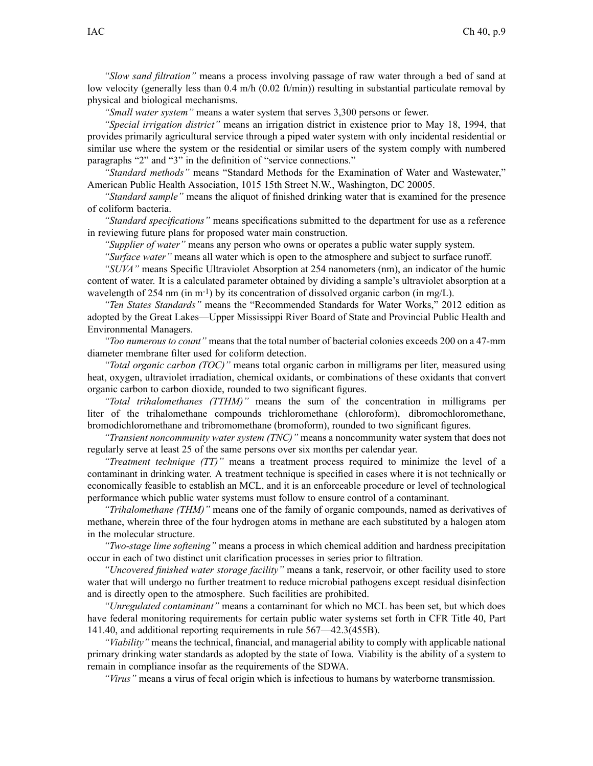*"Slow sand filtration"* means <sup>a</sup> process involving passage of raw water through <sup>a</sup> bed of sand at low velocity (generally less than  $0.4$  m/h  $(0.02$  ft/min)) resulting in substantial particulate removal by physical and biological mechanisms.

*"Small water system"* means <sup>a</sup> water system that serves 3,300 persons or fewer.

*"Special irrigation district"* means an irrigation district in existence prior to May 18, 1994, that provides primarily agricultural service through <sup>a</sup> piped water system with only incidental residential or similar use where the system or the residential or similar users of the system comply with numbered paragraphs "2" and "3" in the definition of "service connections."

*"Standard methods"* means "Standard Methods for the Examination of Water and Wastewater," American Public Health Association, 1015 15th Street N.W., Washington, DC 20005.

*"Standard sample"* means the aliquot of finished drinking water that is examined for the presence of coliform bacteria.

*"Standard specifications"* means specifications submitted to the department for use as <sup>a</sup> reference in reviewing future plans for proposed water main construction.

*"Supplier of water"* means any person who owns or operates <sup>a</sup> public water supply system.

*"Surface water"* means all water which is open to the atmosphere and subject to surface runoff.

*"SUVA"* means Specific Ultraviolet Absorption at 254 nanometers (nm), an indicator of the humic content of water. It is <sup>a</sup> calculated parameter obtained by dividing <sup>a</sup> sample's ultraviolet absorption at <sup>a</sup> wavelength of 254 nm (in m<sup>-1</sup>) by its concentration of dissolved organic carbon (in mg/L).

*"Ten States Standards"* means the "Recommended Standards for Water Works," 2012 edition as adopted by the Great Lakes—Upper Mississippi River Board of State and Provincial Public Health and Environmental Managers.

*"Too numerous to count"* means that the total number of bacterial colonies exceeds 200 on <sup>a</sup> 47-mm diameter membrane filter used for coliform detection.

*"Total organic carbon (TOC)"* means total organic carbon in milligrams per liter, measured using heat, oxygen, ultraviolet irradiation, chemical oxidants, or combinations of these oxidants that convert organic carbon to carbon dioxide, rounded to two significant figures.

*"Total trihalomethanes (TTHM)"* means the sum of the concentration in milligrams per liter of the trihalomethane compounds trichloromethane (chloroform), dibromochloromethane, bromodichloromethane and tribromomethane (bromoform), rounded to two significant figures.

*"Transient noncommunity water system (TNC)"* means <sup>a</sup> noncommunity water system that does not regularly serve at least 25 of the same persons over six months per calendar year.

*"Treatment technique (TT)"* means <sup>a</sup> treatment process required to minimize the level of <sup>a</sup> contaminant in drinking water. A treatment technique is specified in cases where it is not technically or economically feasible to establish an MCL, and it is an enforceable procedure or level of technological performance which public water systems must follow to ensure control of <sup>a</sup> contaminant.

*"Trihalomethane (THM)"* means one of the family of organic compounds, named as derivatives of methane, wherein three of the four hydrogen atoms in methane are each substituted by <sup>a</sup> halogen atom in the molecular structure.

*"Two-stage lime softening"* means <sup>a</sup> process in which chemical addition and hardness precipitation occur in each of two distinct unit clarification processes in series prior to filtration.

*"Uncovered finished water storage facility"* means <sup>a</sup> tank, reservoir, or other facility used to store water that will undergo no further treatment to reduce microbial pathogens excep<sup>t</sup> residual disinfection and is directly open to the atmosphere. Such facilities are prohibited.

*"Unregulated contaminant"* means <sup>a</sup> contaminant for which no MCL has been set, but which does have federal monitoring requirements for certain public water systems set forth in CFR Title 40, Part 141.40, and additional reporting requirements in rule [567—42.3\(455B\)](https://www.legis.iowa.gov/docs/iac/rule/567.42.3.pdf).

*"Viability"* means the technical, financial, and managerial ability to comply with applicable national primary drinking water standards as adopted by the state of Iowa. Viability is the ability of <sup>a</sup> system to remain in compliance insofar as the requirements of the SDWA.

*"Virus"* means <sup>a</sup> virus of fecal origin which is infectious to humans by waterborne transmission.